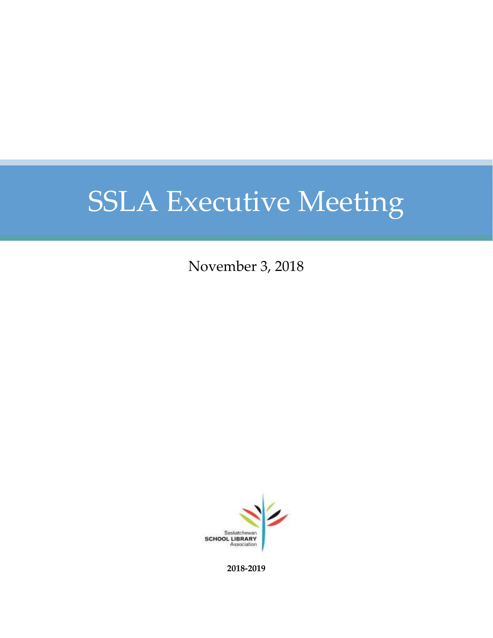November 3, 2018



**2018-2019**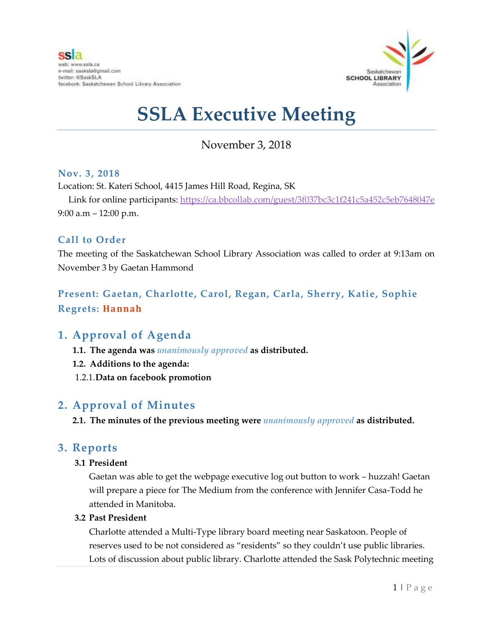

## November 3, 2018

#### **Nov. 3, 2018**

Location: St. Kateri School, 4415 James Hill Road, Regina, SK

Link for online participants:<https://ca.bbcollab.com/guest/3f037bc3c1f241c5a452c5eb7648047e> 9:00 a.m – 12:00 p.m.

#### **Call to Order**

The meeting of the Saskatchewan School Library Association was called to order at 9:13am on November 3 by Gaetan Hammond

#### **Present: Gaetan, Charlotte, Carol, Regan, Carla, Sherry, Katie, Sophie Regrets: Hannah**

#### **1. Approval of Agenda**

- **1.1. The agenda was** *unanimously approved* **as distributed.**
- **1.2. Additions to the agenda:**
- 1.2.1.**Data on facebook promotion**

#### **2. Approval of Minutes**

**2.1. The minutes of the previous meeting were** *unanimously approved* **as distributed.**

#### **3. Reports**

#### **3.1 President**

Gaetan was able to get the webpage executive log out button to work – huzzah! Gaetan will prepare a piece for The Medium from the conference with Jennifer Casa-Todd he attended in Manitoba.

#### **3.2 Past President**

Charlotte attended a Multi-Type library board meeting near Saskatoon. People of reserves used to be not considered as "residents" so they couldn't use public libraries. Lots of discussion about public library. Charlotte attended the Sask Polytechnic meeting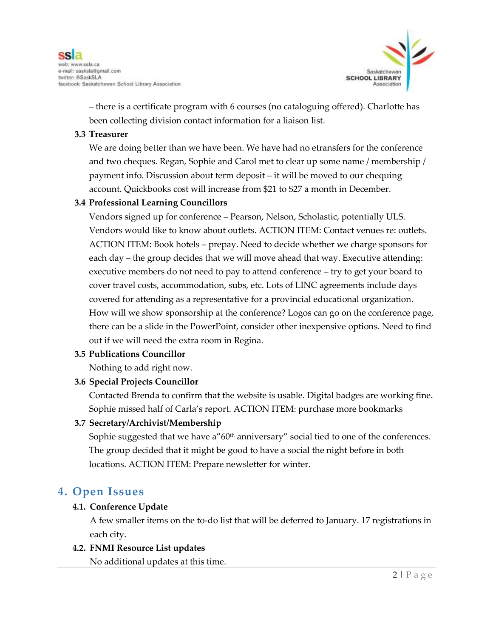

– there is a certificate program with 6 courses (no cataloguing offered). Charlotte has been collecting division contact information for a liaison list.

#### **3.3 Treasurer**

We are doing better than we have been. We have had no etransfers for the conference and two cheques. Regan, Sophie and Carol met to clear up some name / membership / payment info. Discussion about term deposit – it will be moved to our chequing account. Quickbooks cost will increase from \$21 to \$27 a month in December.

#### **3.4 Professional Learning Councillors**

Vendors signed up for conference – Pearson, Nelson, Scholastic, potentially ULS. Vendors would like to know about outlets. ACTION ITEM: Contact venues re: outlets. ACTION ITEM: Book hotels – prepay. Need to decide whether we charge sponsors for each day – the group decides that we will move ahead that way. Executive attending: executive members do not need to pay to attend conference – try to get your board to cover travel costs, accommodation, subs, etc. Lots of LINC agreements include days covered for attending as a representative for a provincial educational organization. How will we show sponsorship at the conference? Logos can go on the conference page, there can be a slide in the PowerPoint, consider other inexpensive options. Need to find out if we will need the extra room in Regina.

#### **3.5 Publications Councillor**

Nothing to add right now.

#### **3.6 Special Projects Councillor**

Contacted Brenda to confirm that the website is usable. Digital badges are working fine. Sophie missed half of Carla's report. ACTION ITEM: purchase more bookmarks

#### **3.7 Secretary/Archivist/Membership**

Sophie suggested that we have a"60<sup>th</sup> anniversary" social tied to one of the conferences. The group decided that it might be good to have a social the night before in both locations. ACTION ITEM: Prepare newsletter for winter.

#### **4. Open Issues**

#### **4.1. Conference Update**

A few smaller items on the to-do list that will be deferred to January. 17 registrations in each city.

#### **4.2. FNMI Resource List updates**

No additional updates at this time.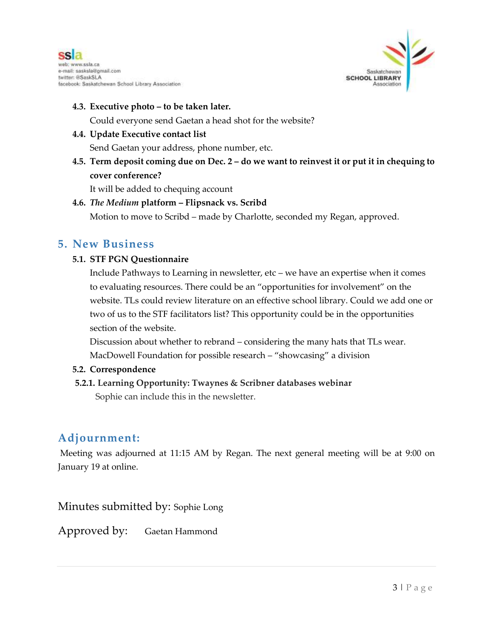



#### **4.3. Executive photo – to be taken later.**

Could everyone send Gaetan a head shot for the website?

#### **4.4. Update Executive contact list**

Send Gaetan your address, phone number, etc.

**4.5. Term deposit coming due on Dec. 2 – do we want to reinvest it or put it in chequing to cover conference?**

It will be added to chequing account

#### **4.6.** *The Medium* **platform – Flipsnack vs. Scribd**

Motion to move to Scribd – made by Charlotte, seconded my Regan, approved.

#### **5. New Business**

#### **5.1. STF PGN Questionnaire**

Include Pathways to Learning in newsletter, etc – we have an expertise when it comes to evaluating resources. There could be an "opportunities for involvement" on the website. TLs could review literature on an effective school library. Could we add one or two of us to the STF facilitators list? This opportunity could be in the opportunities section of the website.

Discussion about whether to rebrand – considering the many hats that TLs wear. MacDowell Foundation for possible research – "showcasing" a division

#### **5.2. Correspondence**

#### **5.2.1. Learning Opportunity: Twaynes & Scribner databases webinar**

Sophie can include this in the newsletter.

### **Adjournment:**

Meeting was adjourned at 11:15 AM by Regan. The next general meeting will be at 9:00 on January 19 at online.

Minutes submitted by: Sophie Long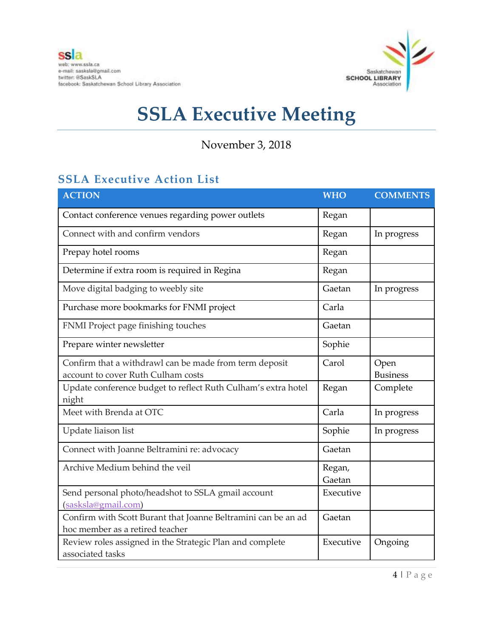

November 3, 2018

## **SSLA Executive Action List**

| <b>ACTION</b>                                                                                    | <b>WHO</b>       | <b>COMMENTS</b>         |
|--------------------------------------------------------------------------------------------------|------------------|-------------------------|
| Contact conference venues regarding power outlets                                                | Regan            |                         |
| Connect with and confirm vendors                                                                 | Regan            | In progress             |
| Prepay hotel rooms                                                                               | Regan            |                         |
| Determine if extra room is required in Regina                                                    | Regan            |                         |
| Move digital badging to weebly site                                                              | Gaetan           | In progress             |
| Purchase more bookmarks for FNMI project                                                         | Carla            |                         |
| FNMI Project page finishing touches                                                              | Gaetan           |                         |
| Prepare winter newsletter                                                                        | Sophie           |                         |
| Confirm that a withdrawl can be made from term deposit<br>account to cover Ruth Culham costs     | Carol            | Open<br><b>Business</b> |
| Update conference budget to reflect Ruth Culham's extra hotel<br>night                           | Regan            | Complete                |
| Meet with Brenda at OTC                                                                          | Carla            | In progress             |
| Update liaison list                                                                              | Sophie           | In progress             |
| Connect with Joanne Beltramini re: advocacy                                                      | Gaetan           |                         |
| Archive Medium behind the veil                                                                   | Regan,<br>Gaetan |                         |
| Send personal photo/headshot to SSLA gmail account<br>(sasksla@gmail.com)                        | Executive        |                         |
| Confirm with Scott Burant that Joanne Beltramini can be an ad<br>hoc member as a retired teacher | Gaetan           |                         |
| Review roles assigned in the Strategic Plan and complete<br>associated tasks                     | Executive        | Ongoing                 |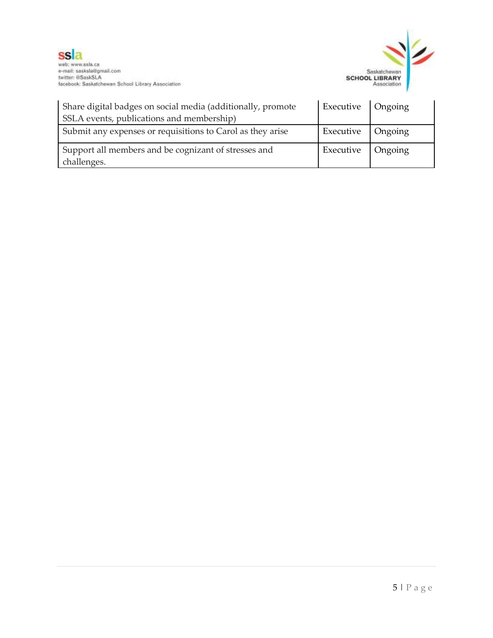

| Share digital badges on social media (additionally, promote         | Executive   Ongoing |  |
|---------------------------------------------------------------------|---------------------|--|
| SSLA events, publications and membership)                           |                     |  |
| Submit any expenses or requisitions to Carol as they arise          | Executive   Ongoing |  |
| Support all members and be cognizant of stresses and<br>challenges. | Executive   Ongoing |  |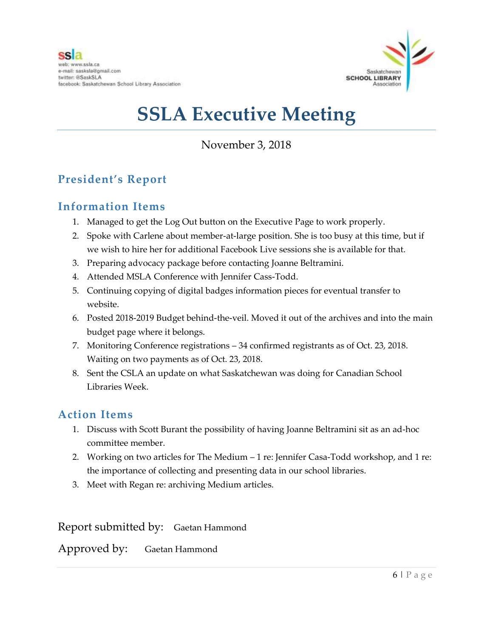

November 3, 2018

## **President's Report**

### **Information Items**

- 1. Managed to get the Log Out button on the Executive Page to work properly.
- 2. Spoke with Carlene about member-at-large position. She is too busy at this time, but if we wish to hire her for additional Facebook Live sessions she is available for that.
- 3. Preparing advocacy package before contacting Joanne Beltramini.
- 4. Attended MSLA Conference with Jennifer Cass-Todd.
- 5. Continuing copying of digital badges information pieces for eventual transfer to website.
- 6. Posted 2018-2019 Budget behind-the-veil. Moved it out of the archives and into the main budget page where it belongs.
- 7. Monitoring Conference registrations 34 confirmed registrants as of Oct. 23, 2018. Waiting on two payments as of Oct. 23, 2018.
- 8. Sent the CSLA an update on what Saskatchewan was doing for Canadian School Libraries Week.

#### **Action Items**

- 1. Discuss with Scott Burant the possibility of having Joanne Beltramini sit as an ad-hoc committee member.
- 2. Working on two articles for The Medium 1 re: Jennifer Casa-Todd workshop, and 1 re: the importance of collecting and presenting data in our school libraries.
- 3. Meet with Regan re: archiving Medium articles.

Report submitted by: Gaetan Hammond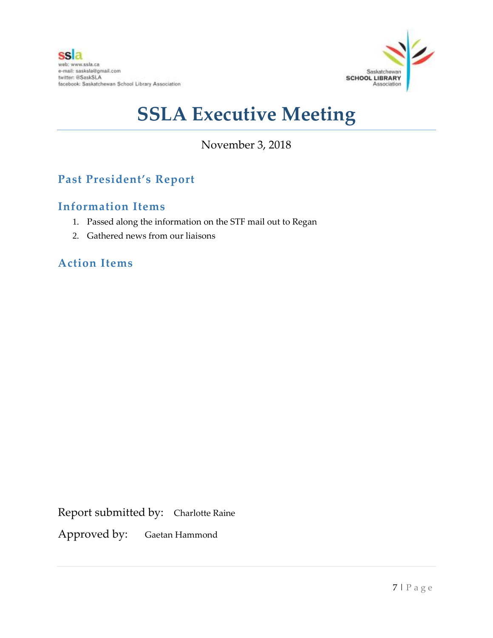

## November 3, 2018

## **Past President's Report**

### **Information Items**

- 1. Passed along the information on the STF mail out to Regan
- 2. Gathered news from our liaisons

### **Action Items**

Report submitted by: Charlotte Raine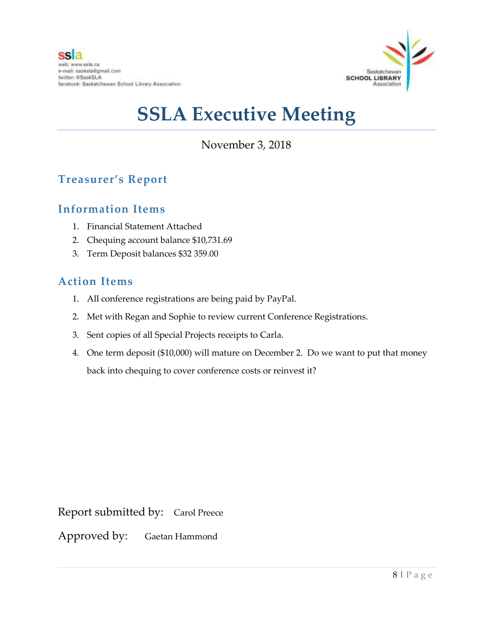

November 3, 2018

## **Treasurer's Report**

#### **Information Items**

- 1. Financial Statement Attached
- 2. Chequing account balance \$10,731.69
- 3. Term Deposit balances \$32 359.00

#### **Action Items**

- 1. All conference registrations are being paid by PayPal.
- 2. Met with Regan and Sophie to review current Conference Registrations.
- 3. Sent copies of all Special Projects receipts to Carla.
- 4. One term deposit (\$10,000) will mature on December 2. Do we want to put that money back into chequing to cover conference costs or reinvest it?

Report submitted by: Carol Preece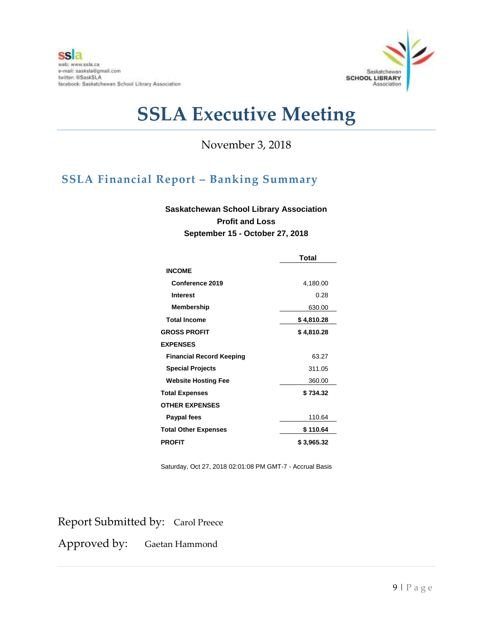

November 3, 2018

## **SSLA Financial Report – Banking Summary**

#### **Saskatchewan School Library Association Profit and Loss September 15 - October 27, 2018**

|                                 | Total      |
|---------------------------------|------------|
| <b>INCOME</b>                   |            |
| Conference 2019                 | 4,180.00   |
| <b>Interest</b>                 | 0.28       |
| Membership                      | 630.00     |
| <b>Total Income</b>             | \$4,810.28 |
| <b>GROSS PROFIT</b>             | \$4,810.28 |
| <b>EXPENSES</b>                 |            |
| <b>Financial Record Keeping</b> | 63.27      |
| <b>Special Projects</b>         | 311.05     |
| <b>Website Hosting Fee</b>      | 360.00     |
| <b>Total Expenses</b>           | \$734.32   |
| <b>OTHER EXPENSES</b>           |            |
| Paypal fees                     | 110.64     |
| <b>Total Other Expenses</b>     | \$110.64   |
| <b>PROFIT</b>                   | \$3,965.32 |

Saturday, Oct 27, 2018 02:01:08 PM GMT-7 - Accrual Basis

Report Submitted by: Carol Preece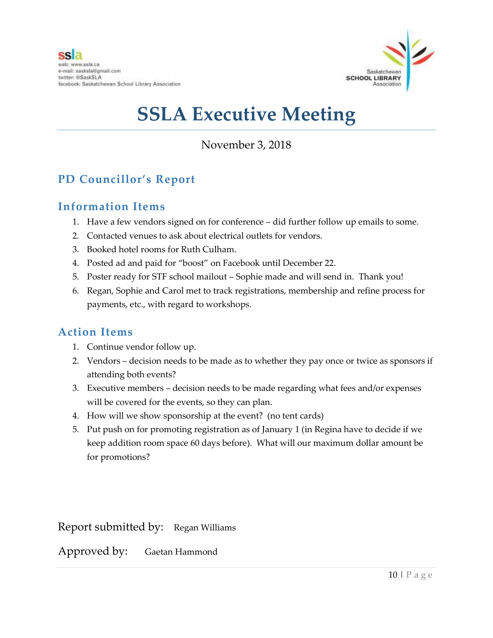

November 3, 2018

## **PD Councillor's Report**

### **Information Items**

- 1. Have a few vendors signed on for conference did further follow up emails to some.
- 2. Contacted venues to ask about electrical outlets for vendors.
- 3. Booked hotel rooms for Ruth Culham.
- 4. Posted ad and paid for "boost" on Facebook until December 22.
- 5. Poster ready for STF school mailout Sophie made and will send in. Thank you!
- 6. Regan, Sophie and Carol met to track registrations, membership and refine process for payments, etc., with regard to workshops.

### **Action Items**

- 1. Continue vendor follow up.
- 2. Vendors decision needs to be made as to whether they pay once or twice as sponsors if attending both events?
- 3. Executive members decision needs to be made regarding what fees and/or expenses will be covered for the events, so they can plan.
- 4. How will we show sponsorship at the event? (no tent cards)
- 5. Put push on for promoting registration as of January 1 (in Regina have to decide if we keep addition room space 60 days before). What will our maximum dollar amount be for promotions?

Report submitted by: Regan Williams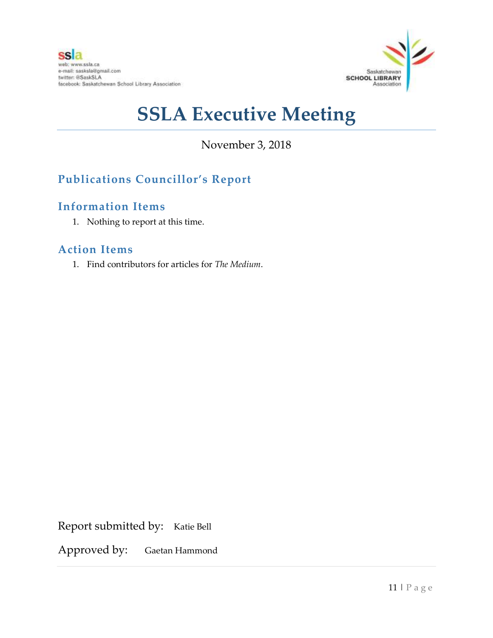

November 3, 2018

## **Publications Councillor's Report**

### **Information Items**

1. Nothing to report at this time.

#### **Action Items**

1. Find contributors for articles for *The Medium*.

Report submitted by: Katie Bell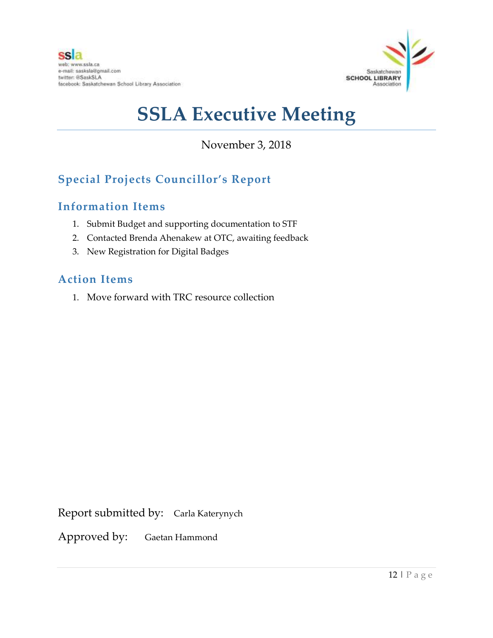

November 3, 2018

## **Special Projects Councillor's Report**

### **Information Items**

- 1. Submit Budget and supporting documentation to STF
- 2. Contacted Brenda Ahenakew at OTC, awaiting feedback
- 3. New Registration for Digital Badges

### **Action Items**

1. Move forward with TRC resource collection

Report submitted by: Carla Katerynych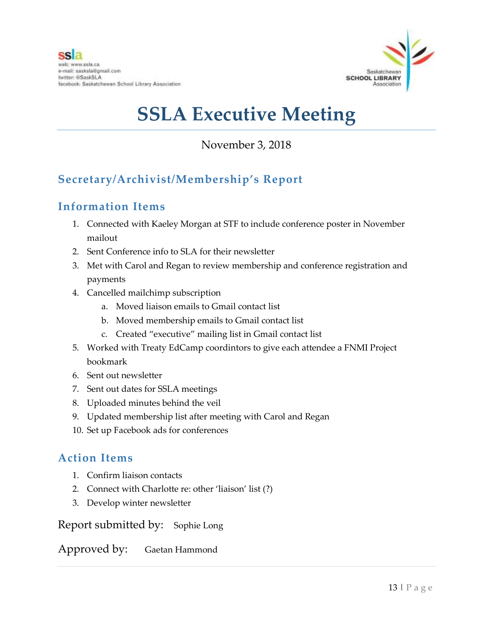

## November 3, 2018

## **Secretary/Archivist/Membership's Report**

### **Information Items**

- 1. Connected with Kaeley Morgan at STF to include conference poster in November mailout
- 2. Sent Conference info to SLA for their newsletter
- 3. Met with Carol and Regan to review membership and conference registration and payments
- 4. Cancelled mailchimp subscription
	- a. Moved liaison emails to Gmail contact list
	- b. Moved membership emails to Gmail contact list
	- c. Created "executive" mailing list in Gmail contact list
- 5. Worked with Treaty EdCamp coordintors to give each attendee a FNMI Project bookmark
- 6. Sent out newsletter
- 7. Sent out dates for SSLA meetings
- 8. Uploaded minutes behind the veil
- 9. Updated membership list after meeting with Carol and Regan
- 10. Set up Facebook ads for conferences

### **Action Items**

- 1. Confirm liaison contacts
- 2. Connect with Charlotte re: other 'liaison' list (?)
- 3. Develop winter newsletter

Report submitted by: Sophie Long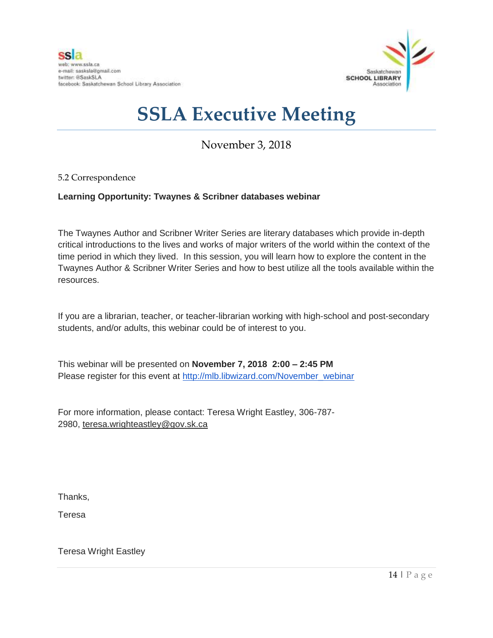

## November 3, 2018

#### 5.2 Correspondence

#### **Learning Opportunity: Twaynes & Scribner databases webinar**

The Twaynes Author and Scribner Writer Series are literary databases which provide in-depth critical introductions to the lives and works of major writers of the world within the context of the time period in which they lived. In this session, you will learn how to explore the content in the Twaynes Author & Scribner Writer Series and how to best utilize all the tools available within the resources.

If you are a librarian, teacher, or teacher-librarian working with high-school and post-secondary students, and/or adults, this webinar could be of interest to you.

This webinar will be presented on **November 7, 2018 2:00 – 2:45 PM** Please register for this event at [http://mlb.libwizard.com/November\\_webinar](http://mlb.libwizard.com/November_webinar)

For more information, please contact: Teresa Wright Eastley, 306-787- 2980, teresa.wrighteastley@gov.sk.ca

Thanks,

Teresa

Teresa Wright Eastley